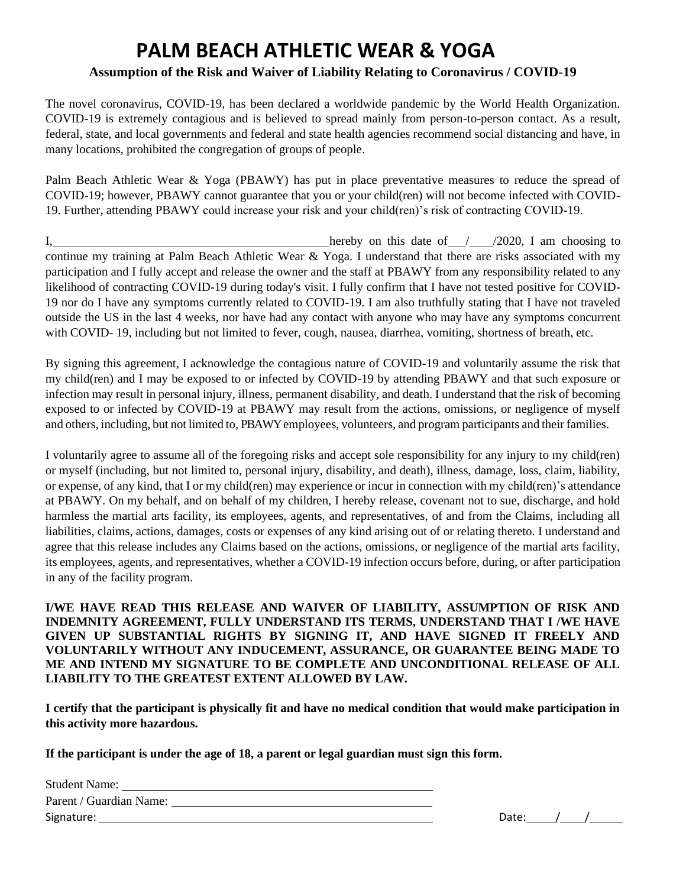## **PALM BEACH ATHLETIC WEAR & YOGA**

## **Assumption of the Risk and Waiver of Liability Relating to Coronavirus / COVID-19**

The novel coronavirus, COVID-19, has been declared a worldwide pandemic by the World Health Organization. COVID-19 is extremely contagious and is believed to spread mainly from person-to-person contact. As a result, federal, state, and local governments and federal and state health agencies recommend social distancing and have, in many locations, prohibited the congregation of groups of people.

Palm Beach Athletic Wear & Yoga (PBAWY) has put in place preventative measures to reduce the spread of COVID-19; however, PBAWY cannot guarantee that you or your child(ren) will not become infected with COVID-19. Further, attending PBAWY could increase your risk and your child(ren)'s risk of contracting COVID-19.

I, hereby on this date of  $/$   $/2020$ , I am choosing to continue my training at Palm Beach Athletic Wear & Yoga. I understand that there are risks associated with my participation and I fully accept and release the owner and the staff at PBAWY from any responsibility related to any likelihood of contracting COVID-19 during today's visit. I fully confirm that I have not tested positive for COVID-19 nor do I have any symptoms currently related to COVID-19. I am also truthfully stating that I have not traveled outside the US in the last 4 weeks, nor have had any contact with anyone who may have any symptoms concurrent with COVID- 19, including but not limited to fever, cough, nausea, diarrhea, vomiting, shortness of breath, etc.

By signing this agreement, I acknowledge the contagious nature of COVID-19 and voluntarily assume the risk that my child(ren) and I may be exposed to or infected by COVID-19 by attending PBAWY and that such exposure or infection may result in personal injury, illness, permanent disability, and death. I understand that the risk of becoming exposed to or infected by COVID-19 at PBAWY may result from the actions, omissions, or negligence of myself and others, including, but not limited to, PBAWYemployees, volunteers, and program participants and their families.

I voluntarily agree to assume all of the foregoing risks and accept sole responsibility for any injury to my child(ren) or myself (including, but not limited to, personal injury, disability, and death), illness, damage, loss, claim, liability, or expense, of any kind, that I or my child(ren) may experience or incur in connection with my child(ren)'s attendance at PBAWY. On my behalf, and on behalf of my children, I hereby release, covenant not to sue, discharge, and hold harmless the martial arts facility, its employees, agents, and representatives, of and from the Claims, including all liabilities, claims, actions, damages, costs or expenses of any kind arising out of or relating thereto. I understand and agree that this release includes any Claims based on the actions, omissions, or negligence of the martial arts facility, its employees, agents, and representatives, whether a COVID-19 infection occurs before, during, or after participation in any of the facility program.

**I/WE HAVE READ THIS RELEASE AND WAIVER OF LIABILITY, ASSUMPTION OF RISK AND INDEMNITY AGREEMENT, FULLY UNDERSTAND ITS TERMS, UNDERSTAND THAT I /WE HAVE GIVEN UP SUBSTANTIAL RIGHTS BY SIGNING IT, AND HAVE SIGNED IT FREELY AND VOLUNTARILY WITHOUT ANY INDUCEMENT, ASSURANCE, OR GUARANTEE BEING MADE TO ME AND INTEND MY SIGNATURE TO BE COMPLETE AND UNCONDITIONAL RELEASE OF ALL LIABILITY TO THE GREATEST EXTENT ALLOWED BY LAW.**

**I certify that the participant is physically fit and have no medical condition that would make participation in this activity more hazardous.**

**If the participant is under the age of 18, a parent or legal guardian must sign this form.**

| <b>Student Name:</b>    |       |  |
|-------------------------|-------|--|
| Parent / Guardian Name: |       |  |
| Signature:              | Date: |  |

| Date: |  |  |
|-------|--|--|
|       |  |  |